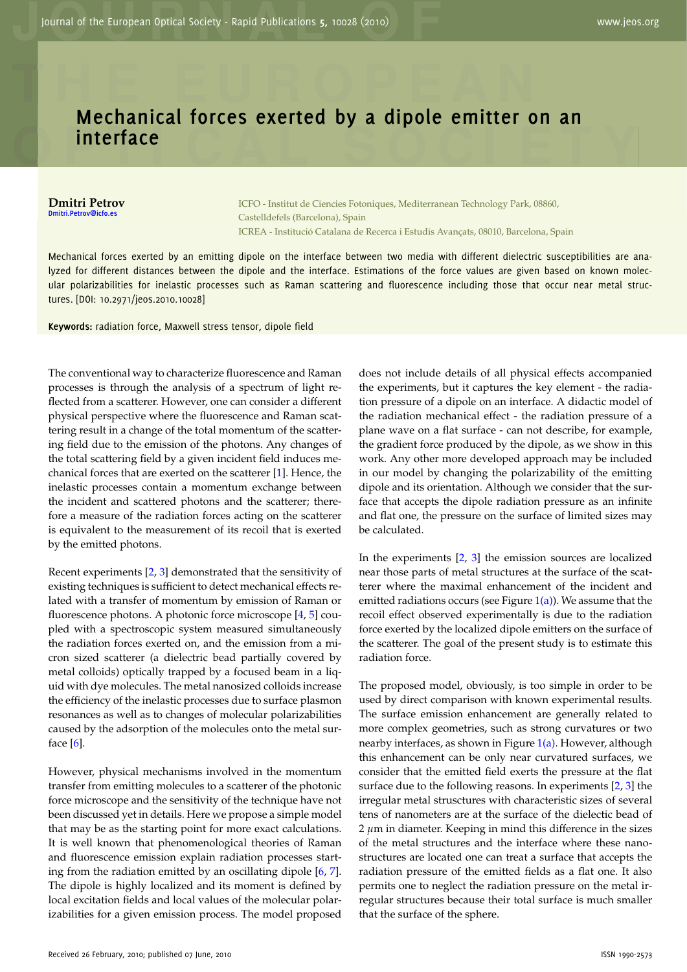## **P E P EXECUTE:** Mechanical forces exerted by a dipole emitter on an analyzed interface **interface**

## **Dmitri Petrov Dmitri.Petrov@icfo.es**

**T**

**O**

**Dmitri Petrov**<br> **EXECO** - Institut de Ciencies Fotoniques, Mediterranean Technology Park, 08860,<br>
Castelldefels (Barcelona), Spain ICFO - Institut de Ciencies Fotoniques, Mediterranean Technology Park, 08860, Castelldefels (Barcelona), Spain ICREA - Institució Catalana de Recerca i Estudis Avançats, 08010, Barcelona, Spain

Mechanical forces exerted by an emitting dipole on the interface between two media with different dielectric susceptibilities are analyzed for different distances between the dipole and the interface. Estimations of the force values are given based on known molecular polarizabilities for inelastic processes such as Raman scattering and fluorescence including those that occur near metal structures. [DOI: 10.2971/jeos.2010.10028]

**Keywords:** radiation force, Maxwell stress tensor, dipole field

The conventional way to characterize fluorescence and Raman processes is through the analysis of a spectrum of light reflected from a scatterer. However, one can consider a different physical perspective where the fluorescence and Raman scattering result in a change of the total momentum of the scattering field due to the emission of the photons. Any changes of the total scattering field by a given incident field induces mechanical forces that are exerted on the scatterer [\[1\]](#page-3-0). Hence, the inelastic processes contain a momentum exchange between the incident and scattered photons and the scatterer; therefore a measure of the radiation forces acting on the scatterer is equivalent to the measurement of its recoil that is exerted by the emitted photons.

Recent experiments [\[2,](#page-3-1) [3\]](#page-3-2) demonstrated that the sensitivity of existing techniques is sufficient to detect mechanical effects related with a transfer of momentum by emission of Raman or fluorescence photons. A photonic force microscope [\[4,](#page-3-3) [5\]](#page-3-4) coupled with a spectroscopic system measured simultaneously the radiation forces exerted on, and the emission from a micron sized scatterer (a dielectric bead partially covered by metal colloids) optically trapped by a focused beam in a liquid with dye molecules. The metal nanosized colloids increase the efficiency of the inelastic processes due to surface plasmon resonances as well as to changes of molecular polarizabilities caused by the adsorption of the molecules onto the metal surface  $[6]$ .

However, physical mechanisms involved in the momentum transfer from emitting molecules to a scatterer of the photonic force microscope and the sensitivity of the technique have not been discussed yet in details. Here we propose a simple model that may be as the starting point for more exact calculations. It is well known that phenomenological theories of Raman and fluorescence emission explain radiation processes starting from the radiation emitted by an oscillating dipole [\[6,](#page-3-5) [7\]](#page-3-6). The dipole is highly localized and its moment is defined by local excitation fields and local values of the molecular polarizabilities for a given emission process. The model proposed

does not include details of all physical effects accompanied the experiments, but it captures the key element - the radiation pressure of a dipole on an interface. A didactic model of the radiation mechanical effect - the radiation pressure of a plane wave on a flat surface - can not describe, for example, the gradient force produced by the dipole, as we show in this work. Any other more developed approach may be included in our model by changing the polarizability of the emitting dipole and its orientation. Although we consider that the surface that accepts the dipole radiation pressure as an infinite and flat one, the pressure on the surface of limited sizes may be calculated.

In the experiments [\[2,](#page-3-1) [3\]](#page-3-2) the emission sources are localized near those parts of metal structures at the surface of the scatterer where the maximal enhancement of the incident and emitted radiations occurs (see Figure  $1(a)$ ). We assume that the recoil effect observed experimentally is due to the radiation force exerted by the localized dipole emitters on the surface of the scatterer. The goal of the present study is to estimate this radiation force.

The proposed model, obviously, is too simple in order to be used by direct comparison with known experimental results. The surface emission enhancement are generally related to more complex geometries, such as strong curvatures or two nearby interfaces, as shown in Figure  $1(a)$ . However, although this enhancement can be only near curvatured surfaces, we consider that the emitted field exerts the pressure at the flat surface due to the following reasons. In experiments [\[2,](#page-3-1) [3\]](#page-3-2) the irregular metal strusctures with characteristic sizes of several tens of nanometers are at the surface of the dielectic bead of 2 *µ*m in diameter. Keeping in mind this difference in the sizes of the metal structures and the interface where these nanostructures are located one can treat a surface that accepts the radiation pressure of the emitted fields as a flat one. It also permits one to neglect the radiation pressure on the metal irregular structures because their total surface is much smaller that the surface of the sphere.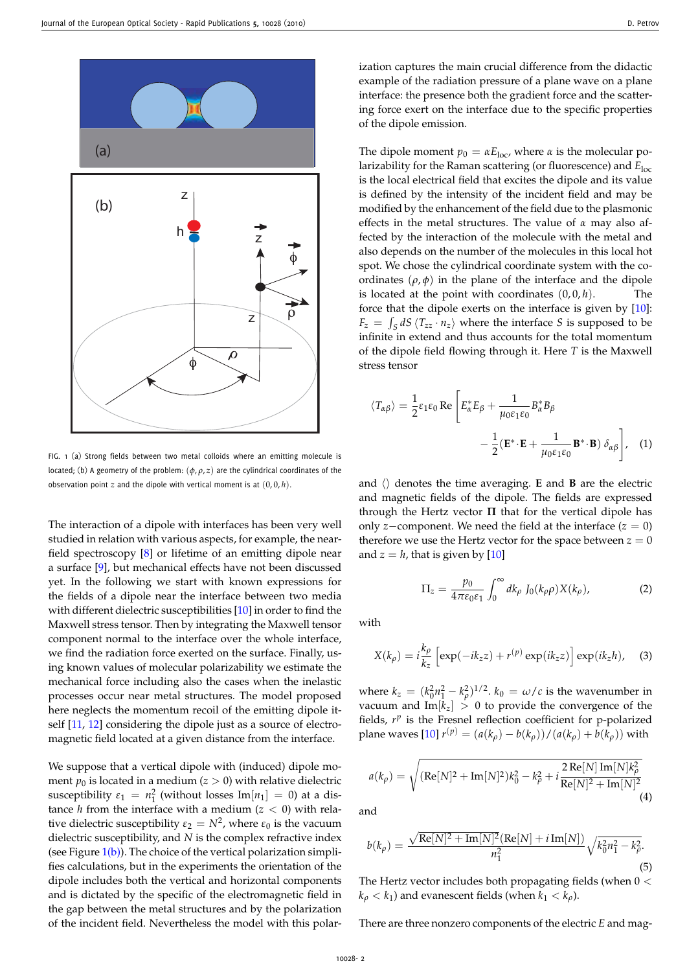

<span id="page-1-0"></span>FIG. 1 (a) Strong fields between two metal colloids where an emitting molecule is located; (b) A geometry of the problem: (*φ*, *ρ*, *z*) are the cylindrical coordinates of the observation point  $z$  and the dipole with vertical moment is at  $(0, 0, h)$ .

The interaction of a dipole with interfaces has been very well studied in relation with various aspects, for example, the nearfield spectroscopy [\[8\]](#page-3-7) or lifetime of an emitting dipole near a surface [\[9\]](#page-3-8), but mechanical effects have not been discussed yet. In the following we start with known expressions for the fields of a dipole near the interface between two media with different dielectric susceptibilities [\[10\]](#page-3-9) in order to find the Maxwell stress tensor. Then by integrating the Maxwell tensor component normal to the interface over the whole interface, we find the radiation force exerted on the surface. Finally, using known values of molecular polarizability we estimate the mechanical force including also the cases when the inelastic processes occur near metal structures. The model proposed here neglects the momentum recoil of the emitting dipole it-self [\[11,](#page-3-10) [12\]](#page-3-11) considering the dipole just as a source of electromagnetic field located at a given distance from the interface.

We suppose that a vertical dipole with (induced) dipole moment  $p_0$  is located in a medium ( $z > 0$ ) with relative dielectric susceptibility  $\varepsilon_1 = n_1^2$  (without losses Im $[n_1] = 0$ ) at a distance *h* from the interface with a medium  $(z < 0)$  with relative dielectric susceptibility  $\varepsilon_2 = N^2$ , where  $\varepsilon_0$  is the vacuum dielectric susceptibility, and *N* is the complex refractive index (see Figure  $1(b)$ ). The choice of the vertical polarization simplifies calculations, but in the experiments the orientation of the dipole includes both the vertical and horizontal components and is dictated by the specific of the electromagnetic field in the gap between the metal structures and by the polarization of the incident field. Nevertheless the model with this polar-

ization captures the main crucial difference from the didactic example of the radiation pressure of a plane wave on a plane interface: the presence both the gradient force and the scattering force exert on the interface due to the specific properties of the dipole emission.

The dipole moment  $p_0 = \alpha E_{\text{loc}}$ , where  $\alpha$  is the molecular polarizability for the Raman scattering (or fluorescence) and *E*loc is the local electrical field that excites the dipole and its value is defined by the intensity of the incident field and may be modified by the enhancement of the field due to the plasmonic effects in the metal structures. The value of *α* may also affected by the interaction of the molecule with the metal and also depends on the number of the molecules in this local hot spot. We chose the cylindrical coordinate system with the coordinates  $(\rho, \phi)$  in the plane of the interface and the dipole is located at the point with coordinates (0, 0, *h*). The force that the dipole exerts on the interface is given by [\[10\]](#page-3-9):  $F_z = \int_S dS \langle T_{zz} \cdot n_z \rangle$  where the interface *S* is supposed to be infinite in extend and thus accounts for the total momentum of the dipole field flowing through it. Here *T* is the Maxwell stress tensor

$$
\langle T_{\alpha\beta} \rangle = \frac{1}{2} \varepsilon_1 \varepsilon_0 \operatorname{Re} \left[ E_{\alpha}^* E_{\beta} + \frac{1}{\mu_0 \varepsilon_1 \varepsilon_0} B_{\alpha}^* B_{\beta} - \frac{1}{2} (\mathbf{E}^* \cdot \mathbf{E} + \frac{1}{\mu_0 \varepsilon_1 \varepsilon_0} \mathbf{B}^* \cdot \mathbf{B}) \delta_{\alpha\beta} \right], \quad (1)
$$

and  $\langle \rangle$  denotes the time averaging. **E** and **B** are the electric and magnetic fields of the dipole. The fields are expressed through the Hertz vector **Π** that for the vertical dipole has only *z*−component. We need the field at the interface (*z* = 0) therefore we use the Hertz vector for the space between  $z = 0$ and  $z = h$ , that is given by [\[10\]](#page-3-9)

$$
\Pi_z = \frac{p_0}{4\pi\varepsilon_0\varepsilon_1} \int_0^\infty dk_\rho \ J_0(k_\rho \rho) X(k_\rho),\tag{2}
$$

with

$$
X(k_{\rho}) = i\frac{k_{\rho}}{k_z} \left[ \exp(-ik_z z) + r^{(p)} \exp(ik_z z) \right] \exp(ik_z h), \quad (3)
$$

where  $k_z = (k_0^2 n_1^2 - k_\rho^2)^{1/2}$ .  $k_0 = \omega/c$  is the wavenumber in vacuum and  $Im[k_z] > 0$  to provide the convergence of the fields,  $r^p$  is the Fresnel reflection coefficient for p-polarized plane waves  $[10]$   $r^{(p)} = (a(k_p) - b(k_p))/(a(k_p) + b(k_p))$  with

$$
a(k_{\rho}) = \sqrt{(\text{Re}[N]^2 + \text{Im}[N]^2)k_0^2 - k_{\rho}^2 + i\frac{2\,\text{Re}[N]\,\text{Im}[N]k_{\rho}^2}{\text{Re}[N]^2 + \text{Im}[N]^2}}
$$
(4)

and

$$
b(k_{\rho}) = \frac{\sqrt{\text{Re}[N]^2 + \text{Im}[N]^2}(\text{Re}[N] + i \,\text{Im}[N])}{n_1^2} \sqrt{k_0^2 n_1^2 - k_{\rho}^2}.
$$
\n(5)

The Hertz vector includes both propagating fields (when 0 <  $k_{\rho}$  <  $k_1$ ) and evanescent fields (when  $k_1$  <  $k_{\rho}$ ).

There are three nonzero components of the electric *E* and mag-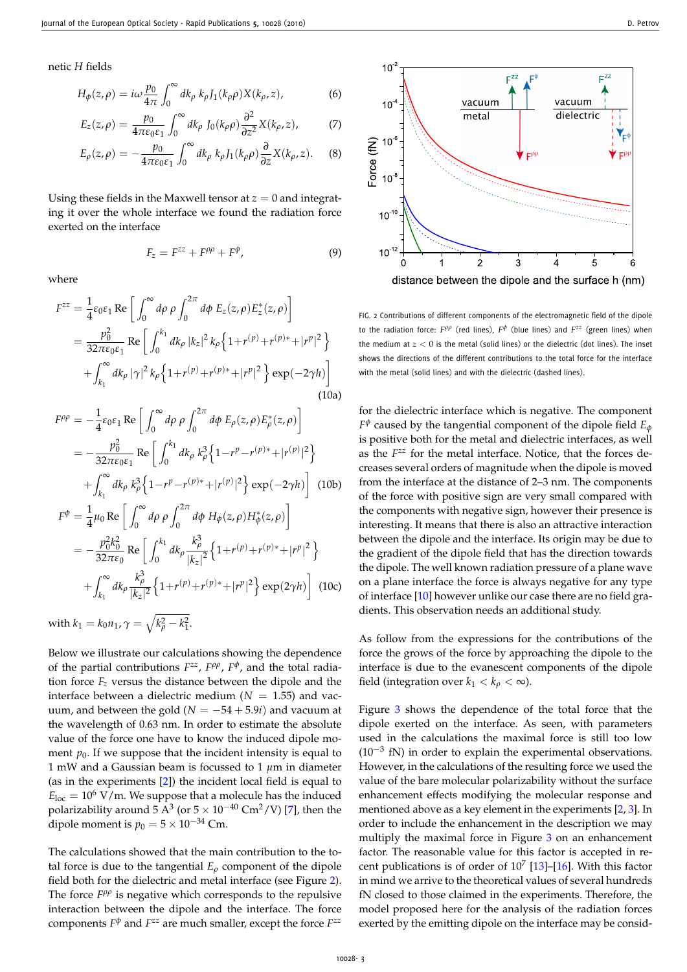netic *H* fields

$$
H_{\phi}(z,\rho) = i\omega \frac{p_0}{4\pi} \int_0^{\infty} dk_{\rho} k_{\rho} J_1(k_{\rho}\rho) X(k_{\rho}, z), \qquad (6)
$$

$$
E_z(z,\rho) = \frac{p_0}{4\pi\varepsilon_0\varepsilon_1} \int_0^\infty dk_\rho \, J_0(k_\rho \rho) \frac{\partial^2}{\partial z^2} X(k_\rho, z), \tag{7}
$$

$$
E_{\rho}(z,\rho) = -\frac{p_0}{4\pi\epsilon_0\epsilon_1} \int_0^{\infty} dk_{\rho} k_{\rho} J_1(k_{\rho}\rho) \frac{\partial}{\partial z} X(k_{\rho}, z). \tag{8}
$$

Using these fields in the Maxwell tensor at  $z = 0$  and integrating it over the whole interface we found the radiation force exerted on the interface

$$
F_z = F^{zz} + F^{\rho\rho} + F^{\phi}, \tag{9}
$$

where

$$
F^{zz} = \frac{1}{4} \varepsilon_0 \varepsilon_1 \operatorname{Re} \left[ \int_0^\infty d\rho \, \rho \int_0^{2\pi} d\phi \, E_z(z, \rho) E_z^*(z, \rho) \right]
$$
  
= 
$$
\frac{p_0^2}{32\pi\varepsilon_0 \varepsilon_1} \operatorname{Re} \left[ \int_0^{k_1} dk_\rho \, |k_z|^2 k_\rho \left\{ 1 + r^{(p)} + r^{(p)*} + |r^p|^2 \right\} \right]
$$
  
+ 
$$
\int_{k_1}^\infty dk_\rho \, |\gamma|^2 k_\rho \left\{ 1 + r^{(p)} + r^{(p)*} + |r^p|^2 \right\} \exp(-2\gamma h) \right]
$$
(10a)

$$
F^{\rho\rho} = -\frac{1}{4}\varepsilon_{0}\varepsilon_{1} \operatorname{Re}\left[\int_{0}^{\infty} d\rho \rho \int_{0}^{2\pi} d\phi E_{\rho}(z,\rho) E_{\rho}^{*}(z,\rho)\right]
$$
  
\n
$$
= -\frac{p_{0}^{2}}{32\pi\varepsilon_{0}\varepsilon_{1}} \operatorname{Re}\left[\int_{0}^{k_{1}} dk_{\rho} k_{\rho}^{3} \left\{1 - r^{p} - r^{(p)*} + |r^{(p)}|^{2}\right\} + \int_{k_{1}}^{\infty} dk_{\rho} k_{\rho}^{3} \left\{1 - r^{p} - r^{(p)*} + |r^{(p)}|^{2}\right\} \exp(-2\gamma h)\right] (10b)
$$
  
\n
$$
F^{\phi} = \frac{1}{4}\mu_{0} \operatorname{Re}\left[\int_{0}^{\infty} d\rho \rho \int_{0}^{2\pi} d\phi H_{\phi}(z,\rho) H_{\phi}^{*}(z,\rho)\right]
$$
  
\n
$$
= -\frac{p_{0}^{2}k_{0}^{2}}{32\pi\varepsilon_{0}} \operatorname{Re}\left[\int_{0}^{k_{1}} dk_{\rho} \frac{k_{\rho}^{3}}{|k_{z}|^{2}} \left\{1 + r^{(p)} + r^{(p)*} + |r^{p}|^{2}\right\} + \int_{k_{1}}^{\infty} dk_{\rho} \frac{k_{\rho}^{3}}{|k_{z}|^{2}} \left\{1 + r^{(p)} + r^{(p)*} + |r^{p}|^{2}\right\} \exp(2\gamma h)\right] (10c)
$$

with  $k_1 = k_0 n_1$ ,  $\gamma = \sqrt{k_\rho^2 - k_1^2}$ .

Below we illustrate our calculations showing the dependence of the partial contributions  $F^{zz}$ ,  $F^{\rho\rho}$ ,  $F^{\phi}$ , and the total radiation force *F<sup>z</sup>* versus the distance between the dipole and the interface between a dielectric medium  $(N = 1.55)$  and vacuum, and between the gold ( $N = -54 + 5.9i$ ) and vacuum at the wavelength of 0.63 nm. In order to estimate the absolute value of the force one have to know the induced dipole moment  $p_0$ . If we suppose that the incident intensity is equal to 1 mW and a Gaussian beam is focussed to 1 *µ*m in diameter (as in the experiments [\[2\]](#page-3-1)) the incident local field is equal to  $E_{loc} = 10^6$  V/m. We suppose that a molecule has the induced polarizability around 5  $\text{A}^3$  (or 5  $\times$   $10^{-40}$   $\text{Cm}^2\text{/V)}$  [\[7\]](#page-3-6), then the dipole moment is  $p_0 = 5 \times 10^{-34}$  Cm.

The calculations showed that the main contribution to the total force is due to the tangential  $E_\rho$  component of the dipole field both for the dielectric and metal interface (see Figure [2\)](#page-2-0). The force  $F^{\rho\rho}$  is negative which corresponds to the repulsive interaction between the dipole and the interface. The force components *F <sup>φ</sup>* and *F zz* are much smaller, except the force *F zz*





distance between the dipole and the surface h (nm)

<span id="page-2-0"></span>FIG. 2 Contributions of different components of the electromagnetic field of the dipole to the radiation force: *F<sup>ρρ</sup>* (red lines), *F<sup>φ</sup>* (blue lines) and *F*<sup>zz</sup> (green lines) when the medium at  $z < 0$  is the metal (solid lines) or the dielectric (dot lines). The inset shows the directions of the different contributions to the total force for the interface with the metal (solid lines) and with the dielectric (dashed lines).

for the dielectric interface which is negative. The component *F φ* caused by the tangential component of the dipole field *E<sup>φ</sup>* is positive both for the metal and dielectric interfaces, as well as the  $F^{zz}$  for the metal interface. Notice, that the forces decreases several orders of magnitude when the dipole is moved from the interface at the distance of 2–3 nm. The components of the force with positive sign are very small compared with the components with negative sign, however their presence is interesting. It means that there is also an attractive interaction between the dipole and the interface. Its origin may be due to the gradient of the dipole field that has the direction towards the dipole. The well known radiation pressure of a plane wave on a plane interface the force is always negative for any type of interface [\[10\]](#page-3-9) however unlike our case there are no field gradients. This observation needs an additional study.

As follow from the expressions for the contributions of the force the grows of the force by approaching the dipole to the interface is due to the evanescent components of the dipole field (integration over  $k_1 < k_\rho < \infty$ ).

Figure [3](#page-3-12) shows the dependence of the total force that the dipole exerted on the interface. As seen, with parameters used in the calculations the maximal force is still too low  $(10^{-3}$  fN) in order to explain the experimental observations. However, in the calculations of the resulting force we used the value of the bare molecular polarizability without the surface enhancement effects modifying the molecular response and mentioned above as a key element in the experiments [\[2,](#page-3-1) [3\]](#page-3-2). In order to include the enhancement in the description we may multiply the maximal force in Figure [3](#page-3-12) on an enhancement factor. The reasonable value for this factor is accepted in recent publications is of order of  $10^7$  [\[13\]](#page-3-13)–[\[16\]](#page-3-14). With this factor in mind we arrive to the theoretical values of several hundreds fN closed to those claimed in the experiments. Therefore, the model proposed here for the analysis of the radiation forces exerted by the emitting dipole on the interface may be consid-